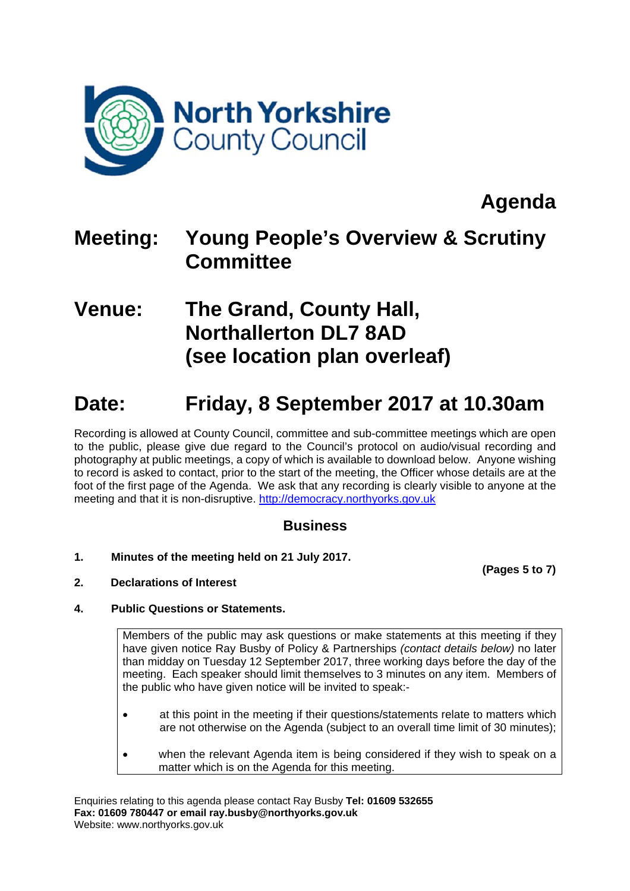

**Agenda** 

## **Meeting: Young People's Overview & Scrutiny Committee**

## **Venue: The Grand, County Hall, Northallerton DL7 8AD (see location plan overleaf)**

# **Date: Friday, 8 September 2017 at 10.30am**

Recording is allowed at County Council, committee and sub-committee meetings which are open to the public, please give due regard to the Council's protocol on audio/visual recording and photography at public meetings, a copy of which is available to download below. Anyone wishing to record is asked to contact, prior to the start of the meeting, the Officer whose details are at the foot of the first page of the Agenda. We ask that any recording is clearly visible to anyone at the meeting and that it is non-disruptive. http://democracy.northyorks.gov.uk

### **Business**

**1. Minutes of the meeting held on 21 July 2017.** 

**(Pages 5 to 7)**

**2. Declarations of Interest** 

### **4. Public Questions or Statements.**

Members of the public may ask questions or make statements at this meeting if they have given notice Ray Busby of Policy & Partnerships *(contact details below)* no later than midday on Tuesday 12 September 2017, three working days before the day of the meeting. Each speaker should limit themselves to 3 minutes on any item. Members of the public who have given notice will be invited to speak:-

- at this point in the meeting if their questions/statements relate to matters which are not otherwise on the Agenda (subject to an overall time limit of 30 minutes);
- when the relevant Agenda item is being considered if they wish to speak on a matter which is on the Agenda for this meeting.

Enquiries relating to this agenda please contact Ray Busby **Tel: 01609 532655 Fax: 01609 780447 or email ray.busby@northyorks.gov.uk**  Website: www.northyorks.gov.uk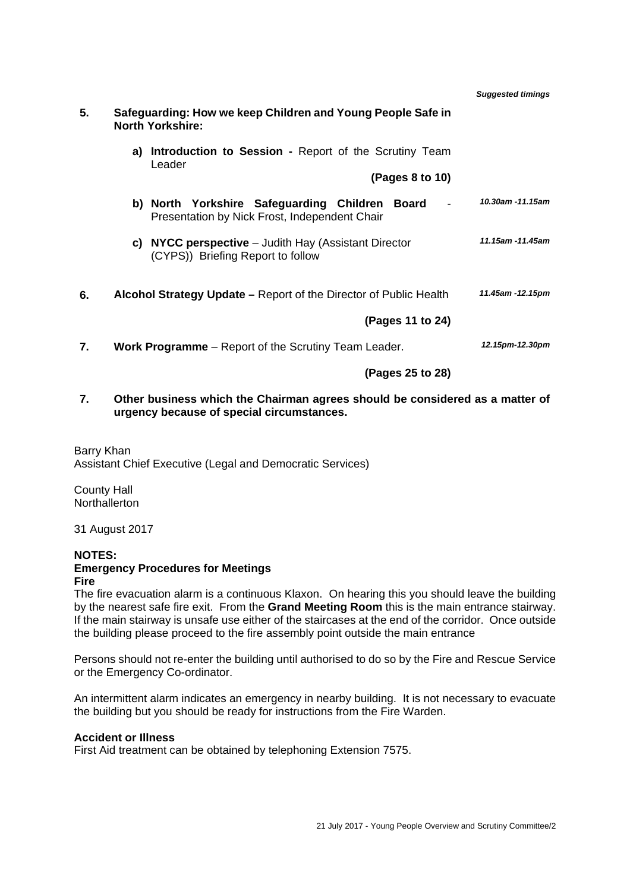|    |                                                                                                 | <b>Suggested timings</b> |
|----|-------------------------------------------------------------------------------------------------|--------------------------|
| 5. | Safeguarding: How we keep Children and Young People Safe in<br><b>North Yorkshire:</b>          |                          |
|    | <b>Introduction to Session - Report of the Scrutiny Team</b><br>a)<br>Leader                    |                          |
|    | (Pages 8 to 10)                                                                                 |                          |
|    | b) North Yorkshire Safeguarding Children Board<br>Presentation by Nick Frost, Independent Chair | 10.30am -11.15am         |
|    | c) NYCC perspective $-$ Judith Hay (Assistant Director<br>(CYPS)) Briefing Report to follow     | 11.15am -11.45am         |
| 6. | Alcohol Strategy Update – Report of the Director of Public Health                               | 11.45am -12.15pm         |
|    | (Pages 11 to 24)                                                                                |                          |
| 7. | Work Programme - Report of the Scrutiny Team Leader.                                            | 12.15pm-12.30pm          |
|    | (Pages 25 to 28)                                                                                |                          |

**7. Other business which the Chairman agrees should be considered as a matter of urgency because of special circumstances.**

Barry Khan Assistant Chief Executive (Legal and Democratic Services)

County Hall **Northallerton** 

31 August 2017

#### **NOTES:**

#### **Emergency Procedures for Meetings Fire**

The fire evacuation alarm is a continuous Klaxon. On hearing this you should leave the building by the nearest safe fire exit. From the **Grand Meeting Room** this is the main entrance stairway. If the main stairway is unsafe use either of the staircases at the end of the corridor. Once outside the building please proceed to the fire assembly point outside the main entrance

Persons should not re-enter the building until authorised to do so by the Fire and Rescue Service or the Emergency Co-ordinator.

An intermittent alarm indicates an emergency in nearby building. It is not necessary to evacuate the building but you should be ready for instructions from the Fire Warden.

#### **Accident or Illness**

First Aid treatment can be obtained by telephoning Extension 7575.